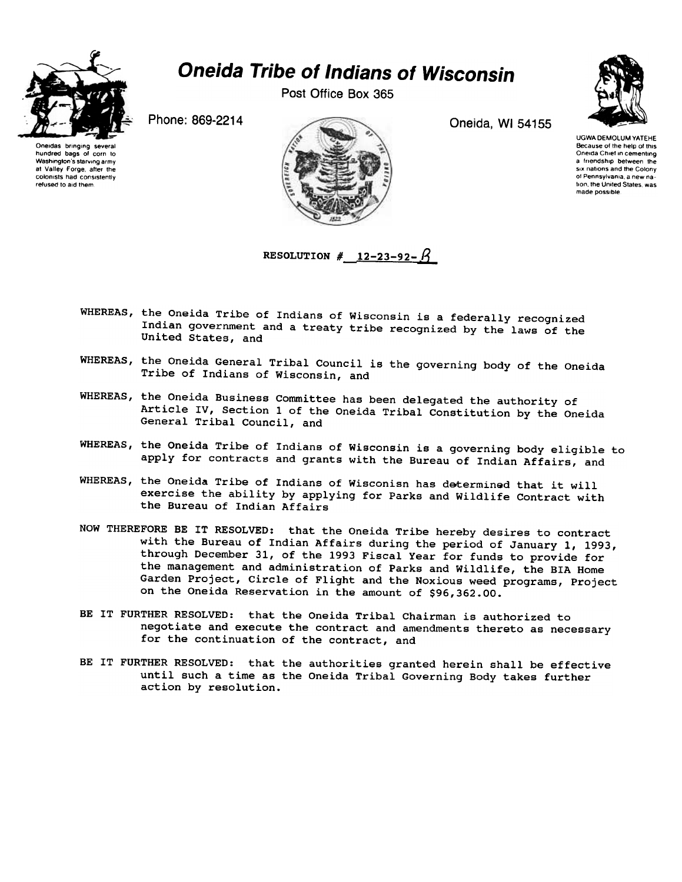

## Oneida Tribe of Indians of Wisconsin

Post Office Box 365



Oneidas bringing several hundred bags of corn to Washington's starving army at Valley Forge after the colonists had consistently refused to aid them



UGWA DEMOLUM YATEHE Because of the help of this Oneida Chief in cementing a friendship between Ihe six nations and the Colony of Pennsylvania a new nalion Ihe UnIled Slales was made possible

RESOLUTION #  $12-23-92-11$ 

- WHEREAS, the Oneida Tribe of Indians of Wisconsin is a federally recognized Indian government and a treaty tribe recognized by the laws of the United States, and
- WHEREAS, the Oneida General Tribal Council is the governing body of the Oneida Tribe of Indians of Wisconsin, and
- WHEREAS, the Oneida Business Committee has been delegated the authority of Article IV, Section 1 of the Oneida Tribal Constitution by the Oneida General Tribal Council, and
- WHEREAS, the Oneida Tribe of Indians of Wisconsin is a governing body eligible to apply for contracts and grants with the Bureau of Indian Affairs, and
- WHEREAS, the Oneida Tribe of Indians of Wisconisn has determined that it will exercise the ability by applying for Parks and Wildlife Contract with the Bureau of Indian Affairs
- NOW THEREFORE BE IT RESOLVED: that the Oneida Tribe hereby desires to contract with the Bureau of Indian Affairs during the period of January I, 1993, through December 31, of the 1993 Fiscal Year for funds to provide for the management and administration of Parks and Wildlife, the BIA Home Garden Project, Circle of Flight and the Noxious weed programs, Project on the Oneida Reservation in the amount of \$96,362.00.
- BE IT FURTHER RESOLVED: that the Oneida Tribal Chairman is authorized to negotiate and execute the contract and amendments thereto as necessary for the continuation of the contract, and
- BE IT FURTHER RESOLVED: that the authorities granted herein shall be effective until such a time as the Oneida Tribal Governing Body takes further action by resolution.